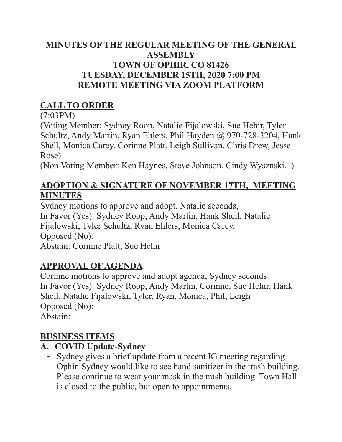#### MINUTES OF THE REGULAR MEETING OF THE GENERAL **ASSEMBLY TOWN OF OPHIR, CO 81426** TUESDAY, DECEMBER 15TH, 2020 7:00 PM **REMOTE MEETING VIA ZOOM PLATFORM**

## **CALL TO ORDER**

 $(7:03PM)$ 

(Voting Member: Sydney Roop, Natalie Fijalowski, Sue Hehir, Tyler Schultz, Andy Martin, Ryan Ehlers, Phil Hayden @ 970-728-3204, Hank Shell, Monica Carey, Corinne Platt, Leigh Sullivan, Chris Drew, Jesse Rose)

(Non Voting Member: Ken Haynes, Steve Johnson, Cindy Wysznski, )

### **ADOPTION & SIGNATURE OF NOVEMBER 17TH, MEETING MINUTES**

Sydney motions to approve and adopt, Natalie seconds, In Favor (Yes): Sydney Roop, Andy Martin, Hank Shell, Natalie Fijalowski, Tyler Schultz, Ryan Ehlers, Monica Carey, Opposed (No): Abstain: Corinne Platt, Sue Hehir

# **APPROVAL OF AGENDA**

Corinne motions to approve and adopt agenda, Sydney seconds In Favor (Yes): Sydney Roop, Andy Martin, Corinne, Sue Hehir, Hank Shell, Natalie Fijalowski, Tyler, Ryan, Monica, Phil, Leigh Opposed (No): Abstain<sup>-</sup>

# **BUSINESS ITEMS**

# A. COVID Update-Sydney

- Sydney gives a brief update from a recent IG meeting regarding Ophir. Sydney would like to see hand sanitizer in the trash building. Please continue to wear your mask in the trash building. Town Hall is closed to the public, but open to appointments.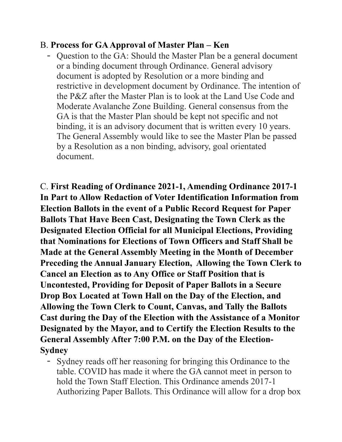#### **B. Process for GA Approval of Master Plan – Ken**

- Question to the GA: Should the Master Plan be a general document or a binding document through Ordinance. General advisory document is adopted by Resolution or a more binding and restrictive in development document by Ordinance. The intention of the P&Z after the Master Plan is to look at the Land Use Code and Moderate Avalanche Zone Building. General consensus from the GA is that the Master Plan should be kept not specific and not binding, it is an advisory document that is written every 10 years. The General Assembly would like to see the Master Plan be passed by a Resolution as a non binding, advisory, goal orientated document.

C. First Reading of Ordinance 2021-1, Amending Ordinance 2017-1 In Part to Allow Redaction of Voter Identification Information from **Election Ballots in the event of a Public Record Request for Paper Ballots That Have Been Cast, Designating the Town Clerk as the Designated Election Official for all Municipal Elections, Providing** that Nominations for Elections of Town Officers and Staff Shall be Made at the General Assembly Meeting in the Month of December Preceding the Annual January Election, Allowing the Town Clerk to **Cancel an Election as to Any Office or Staff Position that is Uncontested, Providing for Deposit of Paper Ballots in a Secure** Drop Box Located at Town Hall on the Day of the Election, and Allowing the Town Clerk to Count, Canvas, and Tally the Ballots Cast during the Day of the Election with the Assistance of a Monitor Designated by the Mayor, and to Certify the Election Results to the General Assembly After 7:00 P.M. on the Day of the Election-**Sydney** 

- Sydney reads off her reasoning for bringing this Ordinance to the table. COVID has made it where the GA cannot meet in person to hold the Town Staff Election. This Ordinance amends 2017-1 Authorizing Paper Ballots. This Ordinance will allow for a drop box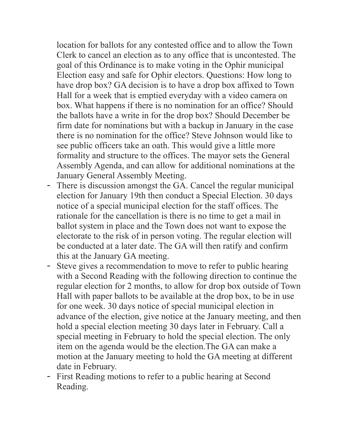location for ballots for any contested office and to allow the Town Clerk to cancel an election as to any office that is uncontested. The goal of this Ordinance is to make voting in the Ophir municipal Election easy and safe for Ophir electors. Questions: How long to have drop box? GA decision is to have a drop box affixed to Town Hall for a week that is emptied everyday with a video camera on box. What happens if there is no nomination for an office? Should the ballots have a write in for the drop box? Should December be firm date for nominations but with a backup in January in the case there is no nomination for the office? Steve Johnson would like to see public officers take an oath. This would give a little more formality and structure to the offices. The mayor sets the General Assembly Agenda, and can allow for additional nominations at the January General Assembly Meeting.

- There is discussion amongst the GA. Cancel the regular municipal election for January 19th then conduct a Special Election. 30 days notice of a special municipal election for the staff offices. The rationale for the cancellation is there is no time to get a mail in ballot system in place and the Town does not want to expose the electorate to the risk of in person voting. The regular election will be conducted at a later date. The GA will then ratify and confirm this at the January GA meeting.
- Steve gives a recommendation to move to refer to public hearing with a Second Reading with the following direction to continue the regular election for 2 months, to allow for drop box outside of Town Hall with paper ballots to be available at the drop box, to be in use for one week. 30 days notice of special municipal election in advance of the election, give notice at the January meeting, and then hold a special election meeting 30 days later in February. Call a special meeting in February to hold the special election. The only item on the agenda would be the election. The GA can make a motion at the January meeting to hold the GA meeting at different date in February.
- First Reading motions to refer to a public hearing at Second Reading.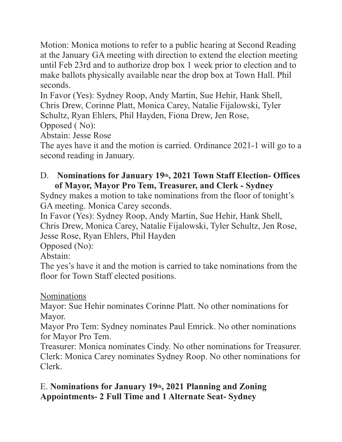Motion: Monica motions to refer to a public hearing at Second Reading at the January GA meeting with direction to extend the election meeting until Feb 23rd and to authorize drop box 1 week prior to election and to make ballots physically available near the drop box at Town Hall. Phil seconds

In Favor (Yes): Sydney Roop, Andy Martin, Sue Hehir, Hank Shell, Chris Drew, Corinne Platt, Monica Carey, Natalie Fijalowski, Tyler Schultz, Ryan Ehlers, Phil Hayden, Fiona Drew, Jen Rose,

Opposed (No):

Abstain: Jesse Rose

The ayes have it and the motion is carried. Ordinance 2021-1 will go to a second reading in January.

#### D. Nominations for January 19th, 2021 Town Staff Election- Offices of Mayor, Mayor Pro Tem, Treasurer, and Clerk - Sydney

Sydney makes a motion to take nominations from the floor of tonight's GA meeting. Monica Carey seconds.

In Favor (Yes): Sydney Roop, Andy Martin, Sue Hehir, Hank Shell, Chris Drew, Monica Carey, Natalie Fijalowski, Tyler Schultz, Jen Rose, Jesse Rose, Ryan Ehlers, Phil Hayden

Opposed (No):

Abstain<sup>-</sup>

The yes's have it and the motion is carried to take nominations from the floor for Town Staff elected positions.

### **Nominations**

Mayor: Sue Hehir nominates Corinne Platt. No other nominations for Mayor.

Mayor Pro Tem: Sydney nominates Paul Emrick. No other nominations for Mayor Pro Tem.

Treasurer: Monica nominates Cindy. No other nominations for Treasurer. Clerk: Monica Carey nominates Sydney Roop. No other nominations for Clerk

### E. Nominations for January 19th, 2021 Planning and Zoning **Appointments-2 Full Time and 1 Alternate Seat-Sydney**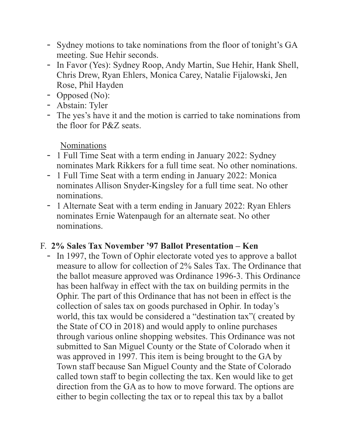- Sydney motions to take nominations from the floor of tonight's GA meeting. Sue Hehir seconds.
- In Favor (Yes): Sydney Roop, Andy Martin, Sue Hehir, Hank Shell, Chris Drew, Ryan Ehlers, Monica Carey, Natalie Fijalowski, Jen Rose, Phil Hayden
- Opposed (No):
- Abstain: Tyler
- The yes's have it and the motion is carried to take nominations from the floor for P&Z seats

**Nominations** 

- 1 Full Time Seat with a term ending in January 2022: Sydney nominates Mark Rikkers for a full time seat. No other nominations.
- 1 Full Time Seat with a term ending in January 2022: Monica nominates Allison Snyder-Kingsley for a full time seat. No other nominations.
- 1 Alternate Seat with a term ending in January 2022: Ryan Ehlers nominates Ernie Watenpaugh for an alternate seat. No other nominations

### F. 2% Sales Tax November '97 Ballot Presentation – Ken

- In 1997, the Town of Ophir electorate voted ves to approve a ballot measure to allow for collection of 2% Sales Tax. The Ordinance that the ballot measure approved was Ordinance 1996-3. This Ordinance has been halfway in effect with the tax on building permits in the Ophir. The part of this Ordinance that has not been in effect is the collection of sales tax on goods purchased in Ophir. In today's world, this tax would be considered a "destination tax" (created by the State of CO in 2018) and would apply to online purchases through various online shopping websites. This Ordinance was not submitted to San Miguel County or the State of Colorado when it was approved in 1997. This item is being brought to the GA by Town staff because San Miguel County and the State of Colorado called town staff to begin collecting the tax. Ken would like to get direction from the GA as to how to move forward. The options are either to begin collecting the tax or to repeal this tax by a ballot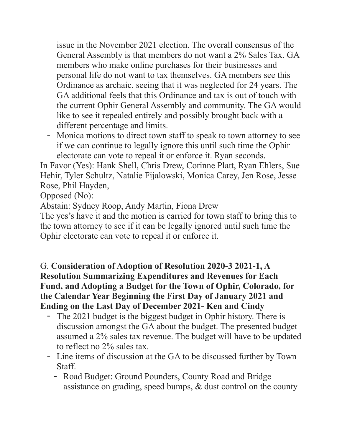issue in the November 2021 election. The overall consensus of the General Assembly is that members do not want a 2% Sales Tax. GA members who make online purchases for their businesses and personal life do not want to tax themselves. GA members see this Ordinance as archaic, seeing that it was neglected for 24 years. The GA additional feels that this Ordinance and tax is out of touch with the current Ophir General Assembly and community. The GA would like to see it repealed entirely and possibly brought back with a different percentage and limits.

- Monica motions to direct town staff to speak to town attorney to see if we can continue to legally ignore this until such time the Ophir electorate can vote to repeal it or enforce it. Ryan seconds.

In Favor (Yes): Hank Shell, Chris Drew, Corinne Platt, Ryan Ehlers, Sue Hehir, Tyler Schultz, Natalie Fijalowski, Monica Carey, Jen Rose, Jesse Rose, Phil Hayden,

Opposed (No):

Abstain: Sydney Roop, Andy Martin, Fiona Drew

The yes's have it and the motion is carried for town staff to bring this to the town attorney to see if it can be legally ignored until such time the Ophir electorate can vote to repeal it or enforce it.

#### G. Consideration of Adoption of Resolution 2020-3 2021-1, A **Resolution Summarizing Expenditures and Revenues for Each** Fund, and Adopting a Budget for the Town of Ophir, Colorado, for the Calendar Year Beginning the First Day of January 2021 and Ending on the Last Day of December 2021- Ken and Cindy

- The 2021 budget is the biggest budget in Ophir history. There is discussion amongst the GA about the budget. The presented budget assumed a 2% sales tax revenue. The budget will have to be updated to reflect no 2% sales tax.
- Line items of discussion at the GA to be discussed further by Town **Staff** 
	- Road Budget: Ground Pounders, County Road and Bridge assistance on grading, speed bumps, & dust control on the county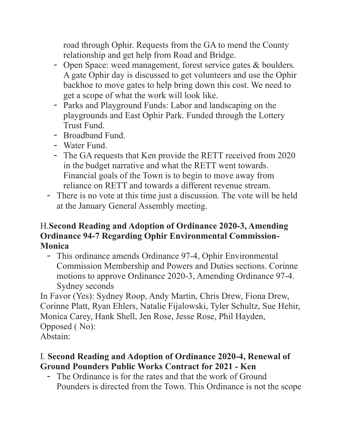road through Ophir. Requests from the GA to mend the County relationship and get help from Road and Bridge.

- Open Space: weed management, forest service gates & boulders. A gate Ophir day is discussed to get volunteers and use the Ophir backhoe to move gates to help bring down this cost. We need to get a scope of what the work will look like.
- Parks and Playground Funds: Labor and landscaping on the playgrounds and East Ophir Park. Funded through the Lottery **Trust Fund**
- Broadband Fund
- Water Fund
- The GA requests that Ken provide the RETT received from 2020 in the budget narrative and what the RETT went towards. Financial goals of the Town is to begin to move away from reliance on RETT and towards a different revenue stream.
- There is no vote at this time just a discussion. The vote will be held at the January General Assembly meeting.

#### **H.Second Reading and Adoption of Ordinance 2020-3, Amending Ordinance 94-7 Regarding Ophir Environmental Commission-Monica**

- This ordinance amends Ordinance 97-4, Ophir Environmental Commission Membership and Powers and Duties sections. Corinne motions to approve Ordinance 2020-3, Amending Ordinance 97-4. Sydney seconds

In Favor (Yes): Sydney Roop, Andy Martin, Chris Drew, Fiona Drew, Corinne Platt, Ryan Ehlers, Natalie Fijalowski, Tyler Schultz, Sue Hehir, Monica Carey, Hank Shell, Jen Rose, Jesse Rose, Phil Hayden, Opposed (No):

Abstain<sup>-</sup>

### I. Second Reading and Adoption of Ordinance 2020-4, Renewal of **Ground Pounders Public Works Contract for 2021 - Ken**

- The Ordinance is for the rates and that the work of Ground Pounders is directed from the Town. This Ordinance is not the scope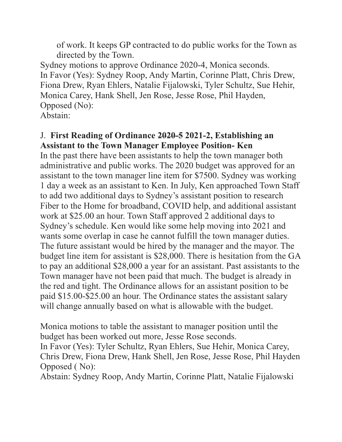of work. It keeps GP contracted to do public works for the Town as directed by the Town.

Sydney motions to approve Ordinance 2020-4, Monica seconds. In Favor (Yes): Sydney Roop, Andy Martin, Corinne Platt, Chris Drew, Fiona Drew, Ryan Ehlers, Natalie Fijalowski, Tyler Schultz, Sue Hehir, Monica Carey, Hank Shell, Jen Rose, Jesse Rose, Phil Hayden, Opposed (No):

Abstain<sup>-</sup>

#### J. First Reading of Ordinance 2020-5 2021-2, Establishing an **Assistant to the Town Manager Employee Position-Ken**

In the past there have been assistants to help the town manager both administrative and public works. The 2020 budget was approved for an assistant to the town manager line item for \$7500. Sydney was working 1 day a week as an assistant to Ken. In July, Ken approached Town Staff to add two additional days to Sydney's assistant position to research Fiber to the Home for broadband, COVID help, and additional assistant work at \$25.00 an hour. Town Staff approved 2 additional days to Sydney's schedule. Ken would like some help moving into 2021 and wants some overlap in case he cannot fulfill the town manager duties. The future assistant would be hired by the manager and the mayor. The budget line item for assistant is \$28,000. There is hesitation from the GA to pay an additional \$28,000 a year for an assistant. Past assistants to the Town manager have not been paid that much. The budget is already in the red and tight. The Ordinance allows for an assistant position to be paid \$15.00-\$25.00 an hour. The Ordinance states the assistant salary will change annually based on what is allowable with the budget.

Monica motions to table the assistant to manager position until the budget has been worked out more, Jesse Rose seconds.

In Favor (Yes): Tyler Schultz, Ryan Ehlers, Sue Hehir, Monica Carey, Chris Drew, Fiona Drew, Hank Shell, Jen Rose, Jesse Rose, Phil Hayden Opposed (No):

Abstain: Sydney Roop, Andy Martin, Corinne Platt, Natalie Fijalowski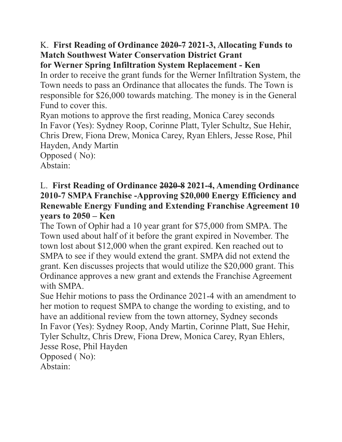#### K. First Reading of Ordinance 2020-7 2021-3, Allocating Funds to **Match Southwest Water Conservation District Grant** for Werner Spring Infiltration System Replacement - Ken

In order to receive the grant funds for the Werner Infiltration System, the Town needs to pass an Ordinance that allocates the funds. The Town is responsible for \$26,000 towards matching. The money is in the General Fund to cover this

Ryan motions to approve the first reading, Monica Carey seconds In Favor (Yes): Sydney Roop, Corinne Platt, Tyler Schultz, Sue Hehir, Chris Drew, Fiona Drew, Monica Carey, Ryan Ehlers, Jesse Rose, Phil Hayden, Andy Martin

Opposed (No): Abstain:

#### L. First Reading of Ordinance 2020-8 2021-4, Amending Ordinance 2010-7 SMPA Franchise -Approving \$20,000 Energy Efficiency and **Renewable Energy Funding and Extending Franchise Agreement 10** vears to  $2050 -$ Ken

The Town of Ophir had a 10 year grant for \$75,000 from SMPA. The Town used about half of it before the grant expired in November. The town lost about \$12,000 when the grant expired. Ken reached out to SMPA to see if they would extend the grant. SMPA did not extend the grant. Ken discusses projects that would utilize the \$20,000 grant. This Ordinance approves a new grant and extends the Franchise Agreement with SMPA

Sue Hehir motions to pass the Ordinance 2021-4 with an amendment to her motion to request SMPA to change the wording to existing, and to have an additional review from the town attorney. Sydney seconds In Favor (Yes): Sydney Roop, Andy Martin, Corinne Platt, Sue Hehir, Tyler Schultz, Chris Drew, Fiona Drew, Monica Carey, Ryan Ehlers, Jesse Rose, Phil Hayden Opposed (No):

Abstain<sup>-</sup>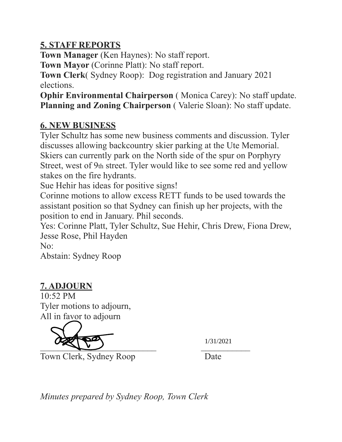### **5. STAFF REPORTS**

**Town Manager** (Ken Haynes): No staff report.

**Town Mayor** (Corinne Platt): No staff report.

**Town Clerk**( Sydney Roop): Dog registration and January 2021 elections.

**Ophir Environmental Chairperson** (Monica Carey): No staff update. **Planning and Zoning Chairperson** ( Valerie Sloan): No staff update.

# **6. NEW BUSINESS**

Tyler Schultz has some new business comments and discussion. Tyler discusses allowing backcountry skier parking at the Ute Memorial. Skiers can currently park on the North side of the spur on Porphyry Street, west of 9th street. Tyler would like to see some red and yellow stakes on the fire hydrants.

Sue Hehir has ideas for positive signs!

Corinne motions to allow excess RETT funds to be used towards the assistant position so that Sydney can finish up her projects, with the position to end in January. Phil seconds.

Yes: Corinne Platt, Tyler Schultz, Sue Hehir, Chris Drew, Fiona Drew, Jesse Rose, Phil Hayden

No:

Abstain: Sydney Roop

# **7. ADJOURN**

10:52 PM Tyler motions to adjourn, All in favor to adjourn



1/31/2021

Town Clerk, Sydney Roop Date

*Minutes prepared by Sydney Roop, Town Clerk*